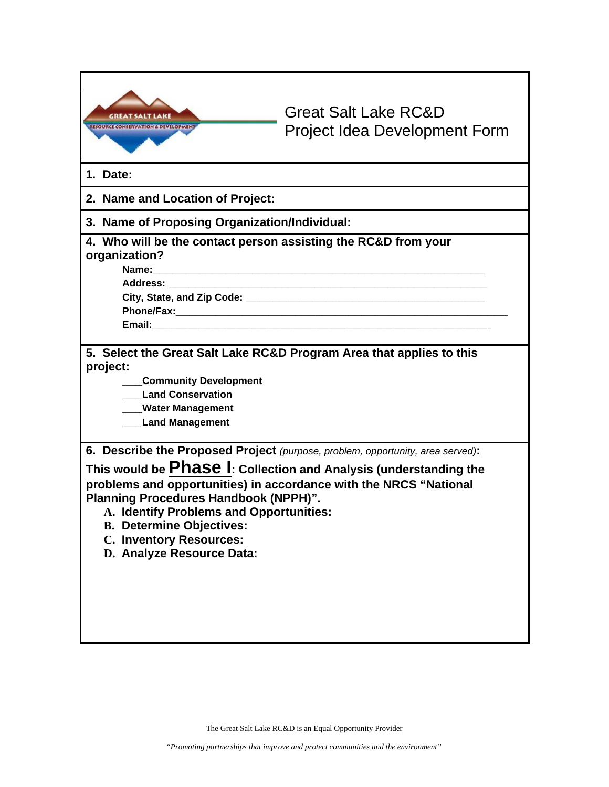| <b>RESOURCE CONSERVATION &amp; DEVELOPMENT</b>                                                                                                                                                                                                                                                                                                                                                                 | <b>Great Salt Lake RC&amp;D</b><br><b>Project Idea Development Form</b> |  |  |  |
|----------------------------------------------------------------------------------------------------------------------------------------------------------------------------------------------------------------------------------------------------------------------------------------------------------------------------------------------------------------------------------------------------------------|-------------------------------------------------------------------------|--|--|--|
| 1. Date:                                                                                                                                                                                                                                                                                                                                                                                                       |                                                                         |  |  |  |
| 2. Name and Location of Project:                                                                                                                                                                                                                                                                                                                                                                               |                                                                         |  |  |  |
| 3. Name of Proposing Organization/Individual:                                                                                                                                                                                                                                                                                                                                                                  |                                                                         |  |  |  |
| 4. Who will be the contact person assisting the RC&D from your<br>organization?<br>Name:                                                                                                                                                                                                                                                                                                                       | <u> 1989 - Johann Stoff, amerikansk politiker (d. 1989)</u>             |  |  |  |
| project:<br><b>Community Development</b><br><b>Land Conservation</b><br>__Water Management<br><b>Land Management</b>                                                                                                                                                                                                                                                                                           | 5. Select the Great Salt Lake RC&D Program Area that applies to this    |  |  |  |
| 6. Describe the Proposed Project (purpose, problem, opportunity, area served):<br>This would be Phase I: Collection and Analysis (understanding the<br>problems and opportunities) in accordance with the NRCS "National<br><b>Planning Procedures Handbook (NPPH)".</b><br>A. Identify Problems and Opportunities:<br><b>B. Determine Objectives:</b><br>C. Inventory Resources:<br>D. Analyze Resource Data: |                                                                         |  |  |  |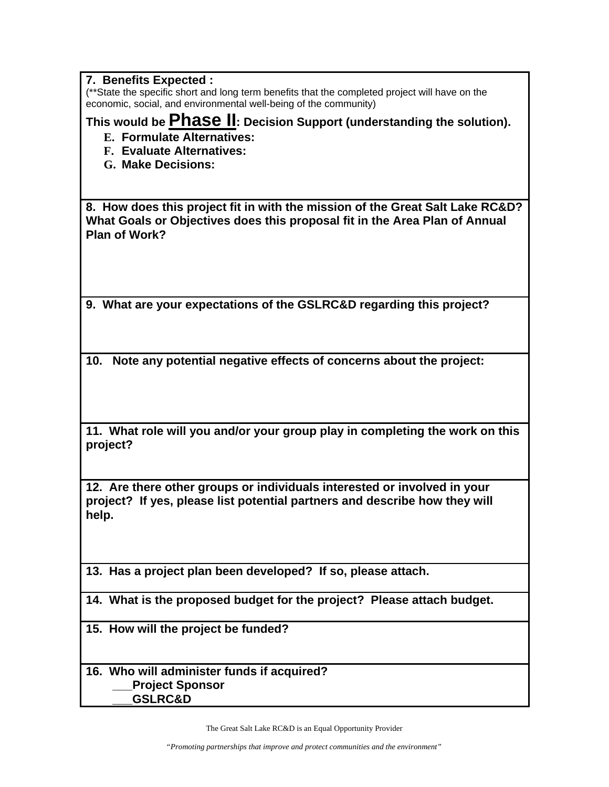| 7. Benefits Expected :<br>(**State the specific short and long term benefits that the completed project will have on the<br>economic, social, and environmental well-being of the community) |
|----------------------------------------------------------------------------------------------------------------------------------------------------------------------------------------------|
| This would be Phase II: Decision Support (understanding the solution).<br><b>E. Formulate Alternatives:</b><br><b>F. Evaluate Alternatives:</b><br>G. Make Decisions:                        |
| 8. How does this project fit in with the mission of the Great Salt Lake RC&D?                                                                                                                |
| What Goals or Objectives does this proposal fit in the Area Plan of Annual<br>Plan of Work?                                                                                                  |
|                                                                                                                                                                                              |
| 9. What are your expectations of the GSLRC&D regarding this project?                                                                                                                         |
| 10.<br>Note any potential negative effects of concerns about the project:                                                                                                                    |
| 11. What role will you and/or your group play in completing the work on this<br>project?                                                                                                     |
| 12. Are there other groups or individuals interested or involved in your<br>project? If yes, please list potential partners and describe how they will<br>help.                              |
| 13. Has a project plan been developed? If so, please attach.                                                                                                                                 |
| 14. What is the proposed budget for the project? Please attach budget.                                                                                                                       |
| 15. How will the project be funded?                                                                                                                                                          |

**16. Who will administer funds if acquired? \_\_\_Project Sponsor \_\_\_GSLRC&D**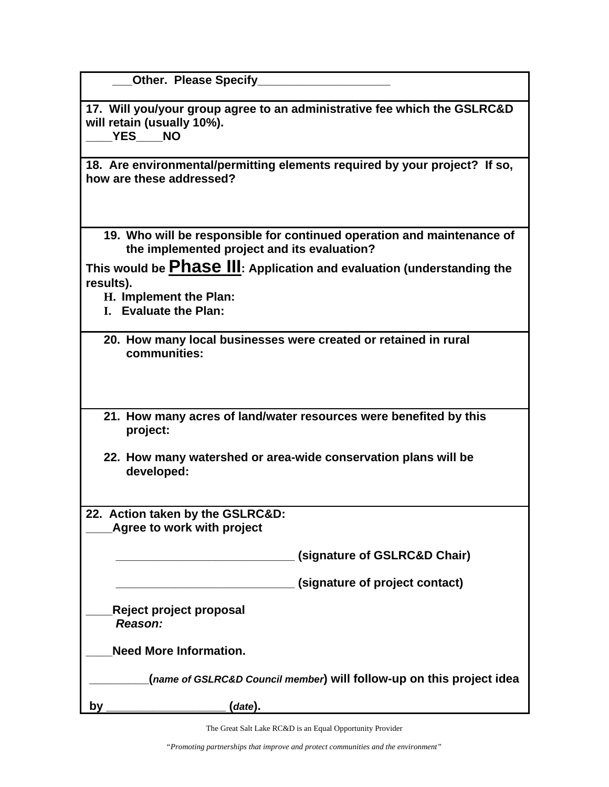|  | <b>Other. Please Specify</b> |  |  |
|--|------------------------------|--|--|
|--|------------------------------|--|--|

**17. Will you/your group agree to an administrative fee which the GSLRC&D will retain (usually 10%). \_\_\_\_YES\_\_\_\_NO** 

**18. Are environmental/permitting elements required by your project? If so, how are these addressed?** 

**19. Who will be responsible for continued operation and maintenance of the implemented project and its evaluation?** 

**This would be Phase III: Application and evaluation (understanding the results).** 

**H. Implement the Plan:** 

- **I. Evaluate the Plan:**
- **20. How many local businesses were created or retained in rural communities:**
- **21. How many acres of land/water resources were benefited by this project:**
- **22. How many watershed or area-wide conservation plans will be developed:**
- **22. Action taken by the GSLRC&D: \_\_\_\_Agree to work with project**

 **\_\_\_\_\_\_\_\_\_\_\_\_\_\_\_\_\_\_\_\_\_\_\_\_\_\_\_ (signature of GSLRC&D Chair)** 

 **\_\_\_\_\_\_\_\_\_\_\_\_\_\_\_\_\_\_\_\_\_\_\_\_\_\_\_ (signature of project contact)** 

**\_\_\_\_Reject project proposal** *Reason:* 

**\_\_\_\_Need More Information.** 

 **\_\_\_\_\_\_\_\_\_(***name of GSLRC&D Council member***) will follow-up on this project idea** 

**by** (*date*).